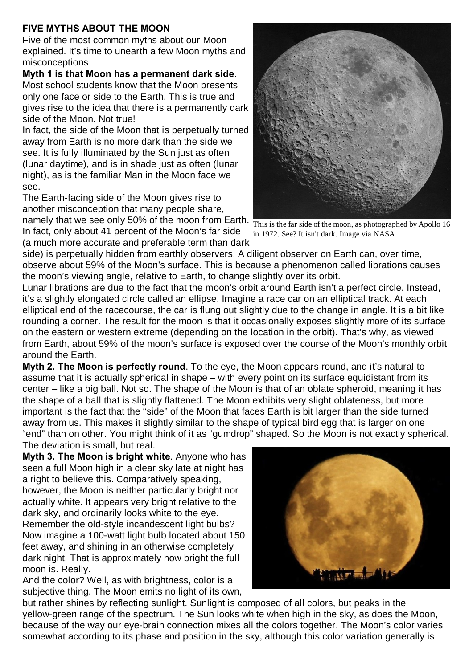## **FIVE MYTHS ABOUT THE MOON**

Five of the most common myths about our Moon explained. It's time to unearth a few Moon myths and misconceptions

**Myth 1 is that Moon has a permanent dark side.**  Most school students know that the Moon presents only one face or side to the Earth. This is true and gives rise to the idea that there is a permanently dark side of the Moon. Not true!

In fact, the side of the Moon that is perpetually turned away from Earth is no more dark than the side we see. It is fully illuminated by the Sun just as often (lunar daytime), and is in shade just as often (lunar night), as is the familiar Man in the Moon face we see.

The Earth-facing side of the Moon gives rise to another misconception that many people share,

namely that we see only 50% of the moon from Earth. In fact, only about 41 percent of the Moon's far side (a much more accurate and preferable term than dark



This is the far side of the moon, as photographed by Apollo 16 in 1972. See? It isn't dark. Image via NASA

side) is perpetually hidden from earthly observers. A diligent observer on Earth can, over time, observe about 59% of the Moon's surface. This is because a phenomenon called librations causes the moon's viewing angle, relative to Earth, to change slightly over its orbit.

Lunar librations are due to the fact that the moon's orbit around Earth isn't a perfect circle. Instead, it's a slightly elongated circle called an ellipse. Imagine a race car on an elliptical track. At each elliptical end of the racecourse, the car is flung out slightly due to the change in angle. It is a bit like rounding a corner. The result for the moon is that it occasionally exposes slightly more of its surface on the eastern or western extreme (depending on the location in the orbit). That's why, as viewed from Earth, about 59% of the moon's surface is exposed over the course of the Moon's monthly orbit around the Earth.

**Myth 2. The Moon is perfectly round**. To the eye, the Moon appears round, and it's natural to assume that it is actually spherical in shape – with every point on its surface equidistant from its center – like a big ball. Not so. The shape of the Moon is that of an oblate spheroid, meaning it has the shape of a ball that is slightly flattened. The Moon exhibits very slight oblateness, but more important is the fact that the "side" of the Moon that faces Earth is bit larger than the side turned away from us. This makes it slightly similar to the shape of typical bird egg that is larger on one "end" than on other. You might think of it as "gumdrop" shaped. So the Moon is not exactly spherical. The deviation is small, but real.

**Myth 3. The Moon is bright white**. Anyone who has seen a full Moon high in a clear sky late at night has a right to believe this. Comparatively speaking, however, the Moon is neither particularly bright nor actually white. It appears very bright relative to the dark sky, and ordinarily looks white to the eye. Remember the old-style incandescent light bulbs? Now imagine a 100-watt light bulb located about 150 feet away, and shining in an otherwise completely dark night. That is approximately how bright the full moon is. Really.

And the color? Well, as with brightness, color is a subjective thing. The Moon emits no light of its own,



but rather shines by reflecting sunlight. Sunlight is composed of all colors, but peaks in the yellow-green range of the spectrum. The Sun looks white when high in the sky, as does the Moon, because of the way our eye-brain connection mixes all the colors together. The Moon's color varies somewhat according to its phase and position in the sky, although this color variation generally is